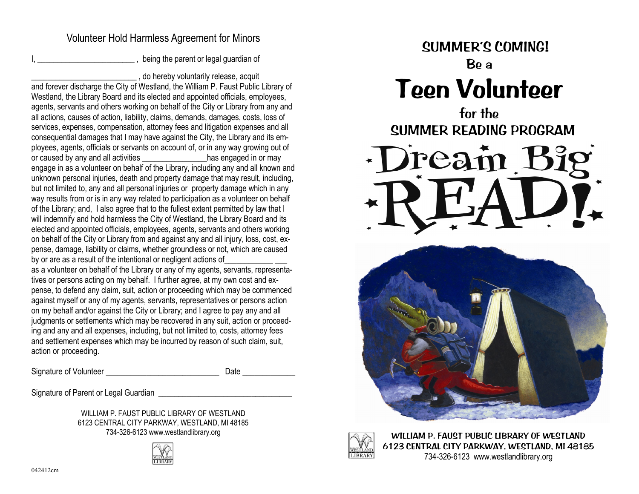#### Volunteer Hold Harmless Agreement for Minors

I, being the parent or legal guardian of

\_\_\_\_\_\_\_\_\_\_\_\_\_\_\_\_\_\_\_\_\_\_\_\_\_\_ , do hereby voluntarily release, acquit

and forever discharge the City of Westland, the William P. Faust Public Library of Westland, the Library Board and its elected and appointed officials, employees, agents, servants and others working on behalf of the City or Library from any and all actions, causes of action, liability, claims, demands, damages, costs, loss of services, expenses, compensation, attorney fees and litigation expenses and all consequential damages that I may have against the City, the Library and its employees, agents, officials or servants on account of, or in any way growing out of or caused by any and all activities **by** has engaged in or may engage in as a volunteer on behalf of the Library, including any and all known and unknown personal injuries, death and property damage that may result, including, but not limited to, any and all personal injuries or property damage which in any way results from or is in any way related to participation as a volunteer on behalf of the Library; and, I also agree that to the fullest extent permitted by law that I will indemnify and hold harmless the City of Westland, the Library Board and its elected and appointed officials, employees, agents, servants and others working on behalf of the City or Library from and against any and all injury, loss, cost, expense, damage, liability or claims, whether groundless or not, which are caused by or are as a result of the intentional or negligent actions of as a volunteer on behalf of the Library or any of my agents, servants, representatives or persons acting on my behalf. I further agree, at my own cost and expense, to defend any claim, suit, action or proceeding which may be commenced against myself or any of my agents, servants, representatives or persons action on my behalf and/or against the City or Library; and I agree to pay any and all judgments or settlements which may be recovered in any suit, action or proceeding and any and all expenses, including, but not limited to, costs, attorney fees and settlement expenses which may be incurred by reason of such claim, suit,

Signature of Volunteer **Example 20** and the Date Date

action or proceeding.

Signature of Parent or Legal Guardian **Figure 2018** 

WILLIAM P. FAUST PUBLIC LIBRARY OF WESTLAND. 6123 CENTRAL CITY PARKWAY, WESTLAND, MI 48185 734-326-6123 www.westlandlibrary.org





for the SUMMER READING PROGRAM







 WILLIAM P. FAUST PUBLIC LIBRARY OF WESTLAND 6123 CENTRAL CITY PARKWAY, WESTLAND, MI 48185 734-326-6123 www.westlandlibrary.org